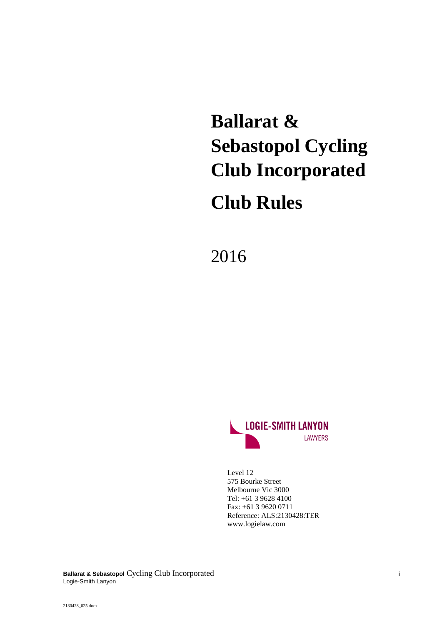# **Ballarat & Sebastopol Cycling Club Incorporated**

## **Club Rules**

2016



Level 12 575 Bourke Street Melbourne Vic 3000 Tel: +61 3 9628 4100 Fax: +61 3 9620 0711 Reference: ALS:2130428:TER www.logielaw.com

**Ballarat & Sebastopol** Cycling Club Incorporated i Logie-Smith Lanyon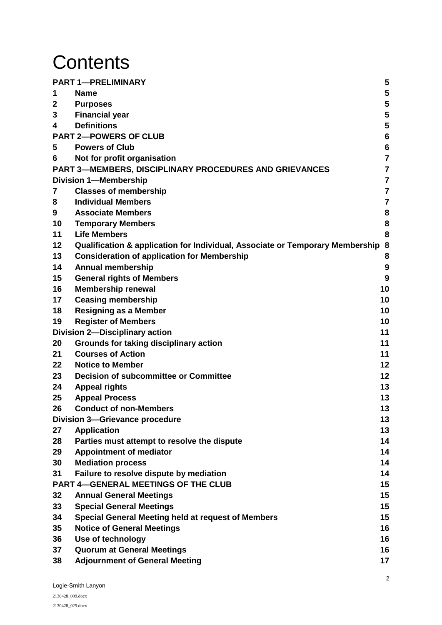# **Contents**

|    | <b>PART 1-PRELIMINARY</b>                                                       | 5               |
|----|---------------------------------------------------------------------------------|-----------------|
| 1  | <b>Name</b>                                                                     | 5               |
| 2  | <b>Purposes</b>                                                                 | 5               |
| 3  | <b>Financial year</b>                                                           | 5               |
| 4  | <b>Definitions</b>                                                              | 5               |
|    | <b>PART 2-POWERS OF CLUB</b>                                                    | $6\phantom{1}6$ |
| 5  | <b>Powers of Club</b>                                                           | $6\phantom{1}6$ |
| 6  | Not for profit organisation                                                     | $\overline{7}$  |
|    | <b>PART 3-MEMBERS, DISCIPLINARY PROCEDURES AND GRIEVANCES</b>                   | $\overline{7}$  |
|    | <b>Division 1-Membership</b>                                                    | $\overline{7}$  |
| 7  | <b>Classes of membership</b>                                                    | $\overline{7}$  |
| 8  | <b>Individual Members</b>                                                       | 7               |
| 9  | <b>Associate Members</b>                                                        | 8               |
| 10 | <b>Temporary Members</b>                                                        | 8               |
| 11 | <b>Life Members</b>                                                             | 8               |
| 12 | Qualification & application for Individual, Associate or Temporary Membership 8 |                 |
| 13 | <b>Consideration of application for Membership</b>                              | 8               |
| 14 | <b>Annual membership</b>                                                        | 9               |
| 15 | <b>General rights of Members</b>                                                | 9               |
| 16 | <b>Membership renewal</b>                                                       | 10              |
| 17 | <b>Ceasing membership</b>                                                       | 10              |
| 18 | <b>Resigning as a Member</b>                                                    | 10              |
| 19 | <b>Register of Members</b>                                                      | 10              |
|    | <b>Division 2-Disciplinary action</b>                                           | 11              |
| 20 | Grounds for taking disciplinary action                                          | 11              |
| 21 | <b>Courses of Action</b>                                                        | 11              |
| 22 | <b>Notice to Member</b>                                                         | 12              |
| 23 | <b>Decision of subcommittee or Committee</b>                                    | 12              |
| 24 | <b>Appeal rights</b>                                                            | 13              |
| 25 | <b>Appeal Process</b>                                                           | 13              |
| 26 | <b>Conduct of non-Members</b>                                                   | 13              |
|    | <b>Division 3-Grievance procedure</b>                                           | 13              |
| 27 | <b>Application</b>                                                              | 13              |
| 28 | Parties must attempt to resolve the dispute                                     | 14              |
| 29 | <b>Appointment of mediator</b>                                                  | 14              |
| 30 | <b>Mediation process</b>                                                        | 14              |
| 31 | Failure to resolve dispute by mediation                                         | 14              |
|    | <b>PART 4-GENERAL MEETINGS OF THE CLUB</b>                                      | 15              |
| 32 | <b>Annual General Meetings</b>                                                  | 15              |
| 33 | <b>Special General Meetings</b>                                                 | 15              |
| 34 | <b>Special General Meeting held at request of Members</b>                       | 15              |
| 35 | <b>Notice of General Meetings</b>                                               | 16              |
| 36 | Use of technology                                                               | 16              |
| 37 | <b>Quorum at General Meetings</b>                                               | 16              |
| 38 | <b>Adjournment of General Meeting</b>                                           | 17              |
|    |                                                                                 |                 |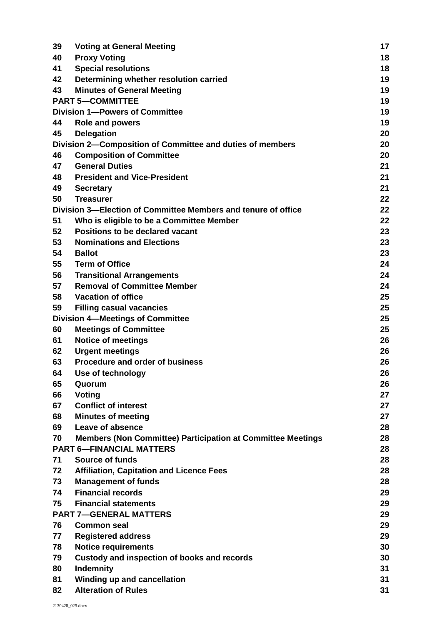| 39 | <b>Voting at General Meeting</b>                                   | 17 |
|----|--------------------------------------------------------------------|----|
| 40 | <b>Proxy Voting</b>                                                | 18 |
| 41 | <b>Special resolutions</b>                                         | 18 |
| 42 | Determining whether resolution carried                             | 19 |
| 43 | <b>Minutes of General Meeting</b>                                  | 19 |
|    | <b>PART 5-COMMITTEE</b>                                            | 19 |
|    | <b>Division 1-Powers of Committee</b>                              | 19 |
| 44 | <b>Role and powers</b>                                             | 19 |
| 45 | <b>Delegation</b>                                                  | 20 |
|    | Division 2-Composition of Committee and duties of members          | 20 |
| 46 | <b>Composition of Committee</b>                                    | 20 |
| 47 | <b>General Duties</b>                                              | 21 |
| 48 | <b>President and Vice-President</b>                                | 21 |
| 49 | <b>Secretary</b>                                                   | 21 |
| 50 | <b>Treasurer</b>                                                   | 22 |
|    | Division 3–Election of Committee Members and tenure of office      | 22 |
| 51 | Who is eligible to be a Committee Member                           | 22 |
| 52 | <b>Positions to be declared vacant</b>                             | 23 |
| 53 | <b>Nominations and Elections</b>                                   | 23 |
| 54 | <b>Ballot</b>                                                      | 23 |
| 55 | <b>Term of Office</b>                                              | 24 |
| 56 | <b>Transitional Arrangements</b>                                   | 24 |
| 57 | <b>Removal of Committee Member</b>                                 | 24 |
| 58 | <b>Vacation of office</b>                                          | 25 |
| 59 | <b>Filling casual vacancies</b>                                    | 25 |
|    | <b>Division 4-Meetings of Committee</b>                            | 25 |
| 60 | <b>Meetings of Committee</b>                                       | 25 |
| 61 | <b>Notice of meetings</b>                                          | 26 |
| 62 | <b>Urgent meetings</b>                                             | 26 |
| 63 | <b>Procedure and order of business</b>                             | 26 |
| 64 | Use of technology                                                  | 26 |
| 65 | Quorum                                                             | 26 |
| 66 | Voting                                                             | 27 |
| 67 | <b>Conflict of interest</b>                                        | 27 |
| 68 | <b>Minutes of meeting</b>                                          | 27 |
| 69 | Leave of absence                                                   | 28 |
| 70 | <b>Members (Non Committee) Participation at Committee Meetings</b> | 28 |
|    | <b>PART 6-FINANCIAL MATTERS</b>                                    | 28 |
| 71 | <b>Source of funds</b>                                             | 28 |
| 72 | <b>Affiliation, Capitation and Licence Fees</b>                    | 28 |
| 73 | <b>Management of funds</b>                                         | 28 |
| 74 | <b>Financial records</b>                                           | 29 |
| 75 | <b>Financial statements</b>                                        | 29 |
|    | <b>PART 7-GENERAL MATTERS</b>                                      | 29 |
| 76 | <b>Common seal</b>                                                 | 29 |
| 77 | <b>Registered address</b>                                          | 29 |
| 78 | <b>Notice requirements</b>                                         | 30 |
| 79 | Custody and inspection of books and records                        | 30 |
| 80 | Indemnity                                                          | 31 |
| 81 | Winding up and cancellation                                        | 31 |
| 82 | <b>Alteration of Rules</b>                                         | 31 |
|    |                                                                    |    |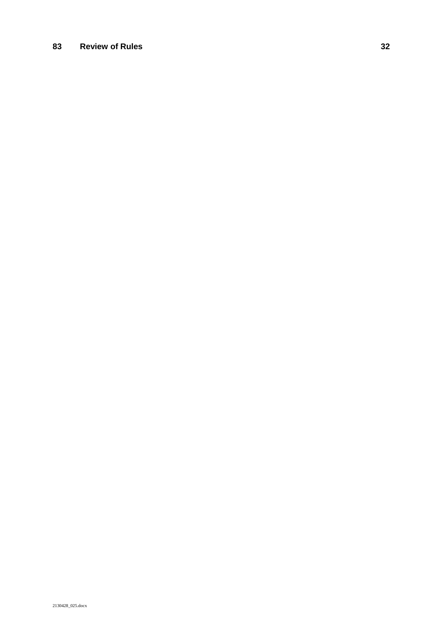### **83 Review of Rules 32**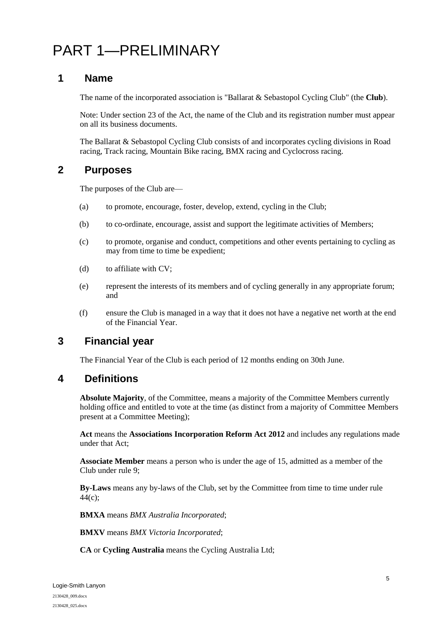### <span id="page-4-0"></span>PART 1—PRELIMINARY

### <span id="page-4-1"></span>**1 Name**

The name of the incorporated association is "Ballarat & Sebastopol Cycling Club" (the **Club**).

Note: Under section 23 of the Act, the name of the Club and its registration number must appear on all its business documents.

The Ballarat & Sebastopol Cycling Club consists of and incorporates cycling divisions in Road racing, Track racing, Mountain Bike racing, BMX racing and Cyclocross racing.

### <span id="page-4-2"></span>**2 Purposes**

The purposes of the Club are—

- (a) to promote, encourage, foster, develop, extend, cycling in the Club;
- (b) to co-ordinate, encourage, assist and support the legitimate activities of Members;
- (c) to promote, organise and conduct, competitions and other events pertaining to cycling as may from time to time be expedient;
- (d) to affiliate with CV;
- (e) represent the interests of its members and of cycling generally in any appropriate forum; and
- (f) ensure the Club is managed in a way that it does not have a negative net worth at the end of the Financial Year.

### <span id="page-4-3"></span>**3 Financial year**

The Financial Year of the Club is each period of 12 months ending on 30th June.

### <span id="page-4-4"></span>**4 Definitions**

**Absolute Majority**, of the Committee, means a majority of the Committee Members currently holding office and entitled to vote at the time (as distinct from a majority of Committee Members present at a Committee Meeting);

**Act** means the **Associations Incorporation Reform Act 2012** and includes any regulations made under that Act;

**Associate Member** means a person who is under the age of 15, admitted as a member of the Club under rule [9;](#page-7-0)

**By-Laws** means any by-laws of the Club, set by the Committee from time to time under rule  $44(c);$ 

**BMXA** means *BMX Australia Incorporated*;

**BMXV** means *BMX Victoria Incorporated*;

**CA** or **Cycling Australia** means the Cycling Australia Ltd;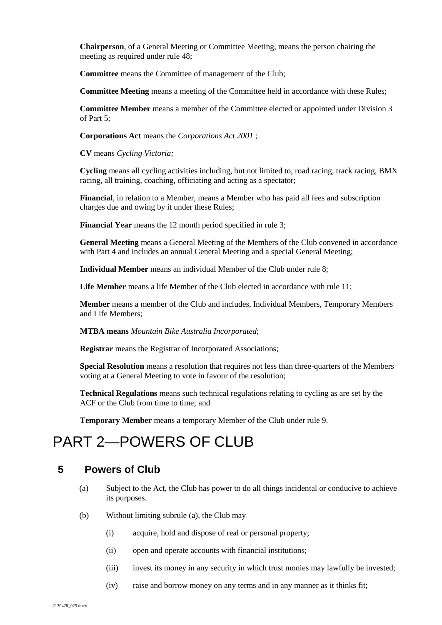**Chairperson**, of a General Meeting or Committee Meeting, means the person chairing the meeting as required under rule [48;](#page-20-1)

**Committee** means the Committee of management of the Club;

**Committee Meeting** means a meeting of the Committee held in accordance with these Rules;

**Committee Member** means a member of the Committee elected or appointed under Division 3 of Part 5;

**Corporations Act** means the *Corporations Act 2001* ;

**CV** means *Cycling Victoria;*

**Cycling** means all cycling activities including, but not limited to, road racing, track racing, BMX racing, all training, coaching, officiating and acting as a spectator;

**Financial***,* in relation to a Member, means a Member who has paid all fees and subscription charges due and owing by it under these Rules;

**Financial Year** means the 12 month period specified in rule [3;](#page-4-3)

**General Meeting** means a General Meeting of the Members of the Club convened in accordance with Part 4 and includes an annual General Meeting and a special General Meeting;

**Individual Member** means an individual Member of the Club under rul[e 8;](#page-6-4)

**Life Member** means a life Member of the Club elected in accordance with rule [11;](#page-7-2)

**Member** means a member of the Club and includes, Individual Members, Temporary Members and Life Members;

**MTBA means** *Mountain Bike Australia Incorporated*;

**Registrar** means the Registrar of Incorporated Associations;

**Special Resolution** means a resolution that requires not less than three-quarters of the Members voting at a General Meeting to vote in favour of the resolution;

**Technical Regulations** means such technical regulations relating to cycling as are set by the ACF or the Club from time to time; and

**Temporary Member** means a temporary Member of the Club under rul[e 9.](#page-7-0)

### <span id="page-5-0"></span>PART 2—POWERS OF CLUB

### <span id="page-5-2"></span><span id="page-5-1"></span>**5 Powers of Club**

- (a) Subject to the Act, the Club has power to do all things incidental or conducive to achieve its purposes.
- (b) Without limiting subrule [\(a\),](#page-5-2) the Club may—
	- (i) acquire, hold and dispose of real or personal property;
	- (ii) open and operate accounts with financial institutions;
	- (iii) invest its money in any security in which trust monies may lawfully be invested;
	- (iv) raise and borrow money on any terms and in any manner as it thinks fit;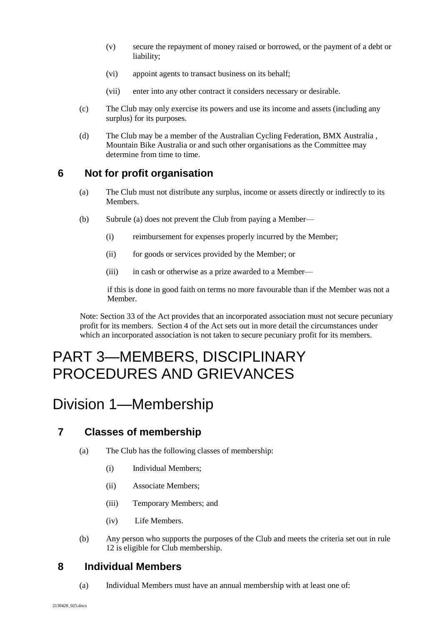- (v) secure the repayment of money raised or borrowed, or the payment of a debt or liability;
- (vi) appoint agents to transact business on its behalf;
- (vii) enter into any other contract it considers necessary or desirable.
- (c) The Club may only exercise its powers and use its income and assets (including any surplus) for its purposes.
- (d) The Club may be a member of the Australian Cycling Federation, BMX Australia , Mountain Bike Australia or and such other organisations as the Committee may determine from time to time.

### <span id="page-6-5"></span><span id="page-6-0"></span>**6 Not for profit organisation**

- (a) The Club must not distribute any surplus, income or assets directly or indirectly to its Members.
- (b) Subrule [\(a\)](#page-6-5) does not prevent the Club from paying a Member—
	- (i) reimbursement for expenses properly incurred by the Member;
	- (ii) for goods or services provided by the Member; or
	- (iii) in cash or otherwise as a prize awarded to a Member—

if this is done in good faith on terms no more favourable than if the Member was not a Member.

Note: Section 33 of the Act provides that an incorporated association must not secure pecuniary profit for its members. Section 4 of the Act sets out in more detail the circumstances under which an incorporated association is not taken to secure pecuniary profit for its members.

### <span id="page-6-1"></span>PART 3—MEMBERS, DISCIPLINARY PROCEDURES AND GRIEVANCES

### <span id="page-6-2"></span>Division 1—Membership

### <span id="page-6-3"></span>**7 Classes of membership**

- (a) The Club has the following classes of membership:
	- (i) Individual Members;
	- (ii) Associate Members;
	- (iii) Temporary Members; and
	- (iv) Life Members.
- (b) Any person who supports the purposes of the Club and meets the criteria set out in rule [12](#page-7-3) is eligible for Club membership.

### <span id="page-6-4"></span>**8 Individual Members**

(a) Individual Members must have an annual membership with at least one of: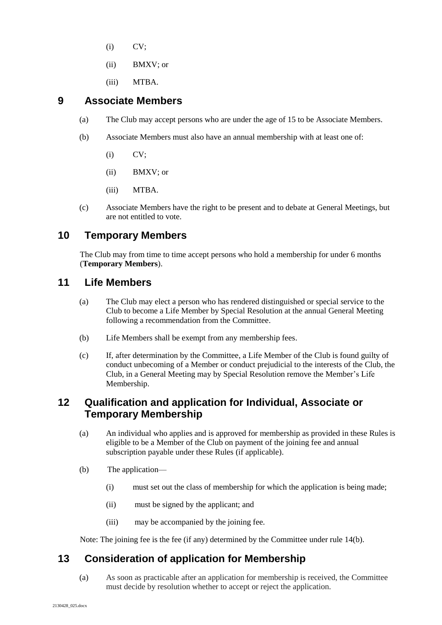- (i) CV;
- (ii) BMXV; or
- (iii) MTBA.

### <span id="page-7-0"></span>**9 Associate Members**

- (a) The Club may accept persons who are under the age of 15 to be Associate Members.
- (b) Associate Members must also have an annual membership with at least one of:
	- (i) CV;
	- (ii) BMXV; or
	- (iii) MTBA.
- (c) Associate Members have the right to be present and to debate at General Meetings, but are not entitled to vote.

### <span id="page-7-1"></span>**10 Temporary Members**

The Club may from time to time accept persons who hold a membership for under 6 months (**Temporary Members**).

### <span id="page-7-2"></span>**11 Life Members**

- (a) The Club may elect a person who has rendered distinguished or special service to the Club to become a Life Member by Special Resolution at the annual General Meeting following a recommendation from the Committee.
- (b) Life Members shall be exempt from any membership fees.
- (c) If, after determination by the Committee, a Life Member of the Club is found guilty of conduct unbecoming of a Member or conduct prejudicial to the interests of the Club, the Club, in a General Meeting may by Special Resolution remove the Member's Life Membership.

### <span id="page-7-3"></span>**12 Qualification and application for Individual, Associate or Temporary Membership**

- (a) An individual who applies and is approved for membership as provided in these Rules is eligible to be a Member of the Club on payment of the joining fee and annual subscription payable under these Rules (if applicable).
- (b) The application—
	- (i) must set out the class of membership for which the application is being made;
	- (ii) must be signed by the applicant; and
	- (iii) may be accompanied by the joining fee.

Note: The joining fee is the fee (if any) determined by the Committee under rule [14\(b\).](#page-8-2)

### <span id="page-7-4"></span>**13 Consideration of application for Membership**

(a) As soon as practicable after an application for membership is received, the Committee must decide by resolution whether to accept or reject the application.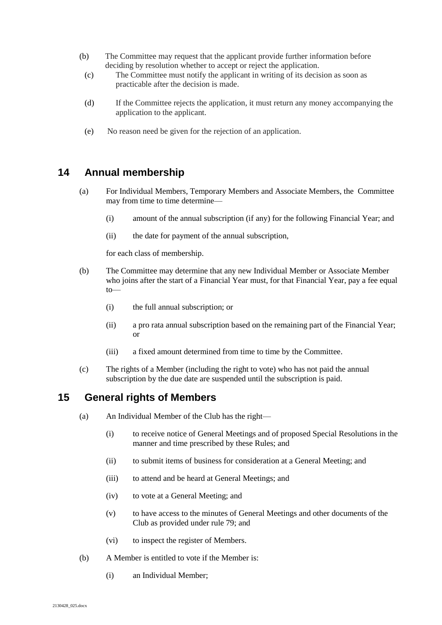- (b) The Committee may request that the applicant provide further information before deciding by resolution whether to accept or reject the application.
	- (c) The Committee must notify the applicant in writing of its decision as soon as practicable after the decision is made.
	- (d) If the Committee rejects the application, it must return any money accompanying the application to the applicant.
	- (e) No reason need be given for the rejection of an application.

### <span id="page-8-0"></span>**14 Annual membership**

- (a) For Individual Members, Temporary Members and Associate Members, the Committee may from time to time determine—
	- (i) amount of the annual subscription (if any) for the following Financial Year; and
	- (ii) the date for payment of the annual subscription,

for each class of membership.

- <span id="page-8-2"></span>(b) The Committee may determine that any new Individual Member or Associate Member who joins after the start of a Financial Year must, for that Financial Year, pay a fee equal  $to$ —
	- (i) the full annual subscription; or
	- (ii) a pro rata annual subscription based on the remaining part of the Financial Year; or
	- (iii) a fixed amount determined from time to time by the Committee.
- (c) The rights of a Member (including the right to vote) who has not paid the annual subscription by the due date are suspended until the subscription is paid.

### <span id="page-8-1"></span>**15 General rights of Members**

- (a) An Individual Member of the Club has the right—
	- (i) to receive notice of General Meetings and of proposed Special Resolutions in the manner and time prescribed by these Rules; and
	- (ii) to submit items of business for consideration at a General Meeting; and
	- (iii) to attend and be heard at General Meetings; and
	- (iv) to vote at a General Meeting; and
	- (v) to have access to the minutes of General Meetings and other documents of the Club as provided under rule [79;](#page-29-2) and
	- (vi) to inspect the register of Members.
- (b) A Member is entitled to vote if the Member is:
	- (i) an Individual Member;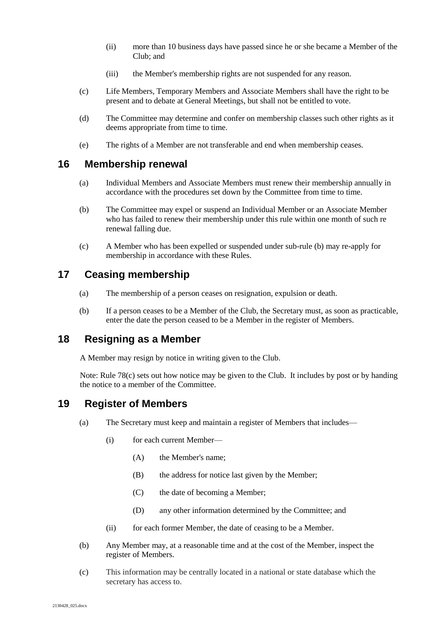- (ii) more than 10 business days have passed since he or she became a Member of the Club; and
- (iii) the Member's membership rights are not suspended for any reason.
- (c) Life Members, Temporary Members and Associate Members shall have the right to be present and to debate at General Meetings, but shall not be entitled to vote.
- (d) The Committee may determine and confer on membership classes such other rights as it deems appropriate from time to time.
- (e) The rights of a Member are not transferable and end when membership ceases.

#### <span id="page-9-0"></span>**16 Membership renewal**

- (a) Individual Members and Associate Members must renew their membership annually in accordance with the procedures set down by the Committee from time to time.
- <span id="page-9-4"></span>(b) The Committee may expel or suspend an Individual Member or an Associate Member who has failed to renew their membership under this rule within one month of such re renewal falling due.
- (c) A Member who has been expelled or suspended under sub-rule [\(b\)](#page-9-4) may re-apply for membership in accordance with these Rules.

### <span id="page-9-1"></span>**17 Ceasing membership**

- (a) The membership of a person ceases on resignation, expulsion or death.
- (b) If a person ceases to be a Member of the Club, the Secretary must, as soon as practicable, enter the date the person ceased to be a Member in the register of Members.

### <span id="page-9-2"></span>**18 Resigning as a Member**

A Member may resign by notice in writing given to the Club.

Note: Rule [78\(c\)](#page-29-3) sets out how notice may be given to the Club. It includes by post or by handing the notice to a member of the Committee.

### <span id="page-9-3"></span>**19 Register of Members**

- (a) The Secretary must keep and maintain a register of Members that includes—
	- (i) for each current Member—
		- (A) the Member's name;
		- (B) the address for notice last given by the Member;
		- (C) the date of becoming a Member;
		- (D) any other information determined by the Committee; and
	- (ii) for each former Member, the date of ceasing to be a Member.
- (b) Any Member may, at a reasonable time and at the cost of the Member, inspect the register of Members.
- (c) This information may be centrally located in a national or state database which the secretary has access to.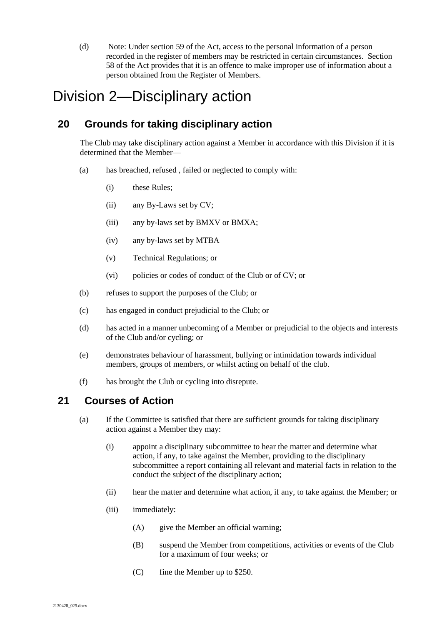(d) Note: Under section 59 of the Act, access to the personal information of a person recorded in the register of members may be restricted in certain circumstances. Section 58 of the Act provides that it is an offence to make improper use of information about a person obtained from the Register of Members.

### <span id="page-10-0"></span>Division 2—Disciplinary action

### <span id="page-10-1"></span>**20 Grounds for taking disciplinary action**

The Club may take disciplinary action against a Member in accordance with this Division if it is determined that the Member—

- (a) has breached, refused , failed or neglected to comply with:
	- (i) these Rules;
	- (ii) any By-Laws set by CV;
	- (iii) any by-laws set by BMXV or BMXA;
	- (iv) any by-laws set by MTBA
	- (v) Technical Regulations; or
	- (vi) policies or codes of conduct of the Club or of CV; or
- (b) refuses to support the purposes of the Club; or
- (c) has engaged in conduct prejudicial to the Club; or
- (d) has acted in a manner unbecoming of a Member or prejudicial to the objects and interests of the Club and/or cycling; or
- (e) demonstrates behaviour of harassment, bullying or intimidation towards individual members, groups of members, or whilst acting on behalf of the club.
- (f) has brought the Club or cycling into disrepute.

### <span id="page-10-2"></span>**21 Courses of Action**

- (a) If the Committee is satisfied that there are sufficient grounds for taking disciplinary action against a Member they may:
	- (i) appoint a disciplinary subcommittee to hear the matter and determine what action, if any, to take against the Member, providing to the disciplinary subcommittee a report containing all relevant and material facts in relation to the conduct the subject of the disciplinary action;
	- (ii) hear the matter and determine what action, if any, to take against the Member; or
	- (iii) immediately:
		- (A) give the Member an official warning;
		- (B) suspend the Member from competitions, activities or events of the Club for a maximum of four weeks; or
		- (C) fine the Member up to \$250.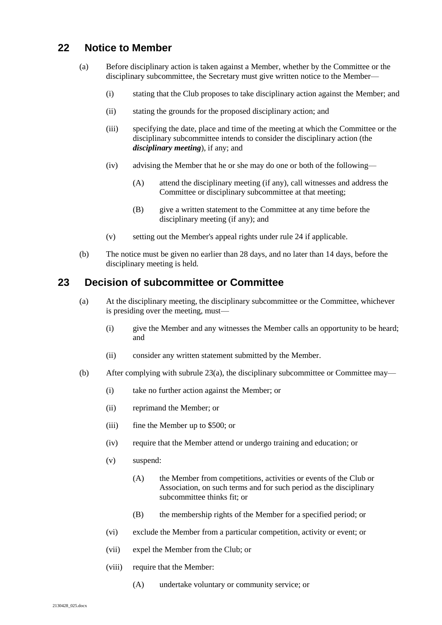### <span id="page-11-0"></span>**22 Notice to Member**

- (a) Before disciplinary action is taken against a Member, whether by the Committee or the disciplinary subcommittee, the Secretary must give written notice to the Member—
	- (i) stating that the Club proposes to take disciplinary action against the Member; and
	- (ii) stating the grounds for the proposed disciplinary action; and
	- (iii) specifying the date, place and time of the meeting at which the Committee or the disciplinary subcommittee intends to consider the disciplinary action (the *disciplinary meeting*), if any; and
	- (iv) advising the Member that he or she may do one or both of the following—
		- (A) attend the disciplinary meeting (if any), call witnesses and address the Committee or disciplinary subcommittee at that meeting;
		- (B) give a written statement to the Committee at any time before the disciplinary meeting (if any); and
	- (v) setting out the Member's appeal rights under rule [24](#page-12-0) if applicable.
- (b) The notice must be given no earlier than 28 days, and no later than 14 days, before the disciplinary meeting is held.

#### <span id="page-11-2"></span><span id="page-11-1"></span>**23 Decision of subcommittee or Committee**

- (a) At the disciplinary meeting, the disciplinary subcommittee or the Committee, whichever is presiding over the meeting, must—
	- (i) give the Member and any witnesses the Member calls an opportunity to be heard; and
	- (ii) consider any written statement submitted by the Member.
- (b) After complying with subrule [23\(a\),](#page-11-2) the disciplinary subcommittee or Committee may—
	- (i) take no further action against the Member; or
	- (ii) reprimand the Member; or
	- (iii) fine the Member up to \$500; or
	- (iv) require that the Member attend or undergo training and education; or
	- (v) suspend:
		- (A) the Member from competitions, activities or events of the Club or Association, on such terms and for such period as the disciplinary subcommittee thinks fit; or
		- (B) the membership rights of the Member for a specified period; or
	- (vi) exclude the Member from a particular competition, activity or event; or
	- (vii) expel the Member from the Club; or
	- (viii) require that the Member:
		- (A) undertake voluntary or community service; or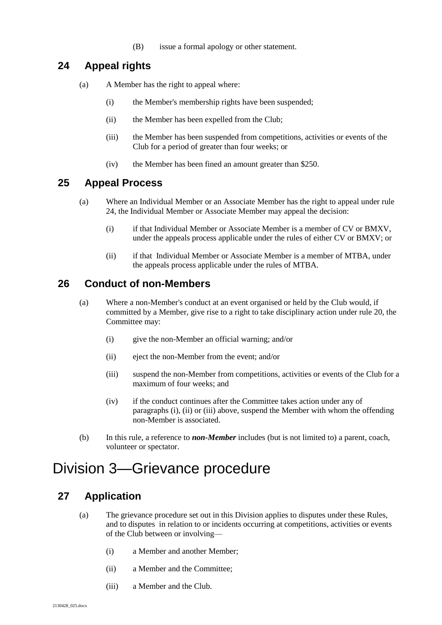(B) issue a formal apology or other statement.

### <span id="page-12-0"></span>**24 Appeal rights**

- (a) A Member has the right to appeal where:
	- (i) the Member's membership rights have been suspended;
	- (ii) the Member has been expelled from the Club;
	- (iii) the Member has been suspended from competitions, activities or events of the Club for a period of greater than four weeks; or
	- (iv) the Member has been fined an amount greater than \$250.

### <span id="page-12-1"></span>**25 Appeal Process**

- (a) Where an Individual Member or an Associate Member has the right to appeal under rule [24,](#page-12-0) the Individual Member or Associate Member may appeal the decision:
	- (i) if that Individual Member or Associate Member is a member of CV or BMXV, under the appeals process applicable under the rules of either CV or BMXV; or
	- (ii) if that Individual Member or Associate Member is a member of MTBA, under the appeals process applicable under the rules of MTBA.

### <span id="page-12-2"></span>**26 Conduct of non-Members**

- (a) Where a non-Member's conduct at an event organised or held by the Club would, if committed by a Member, give rise to a right to take disciplinary action under rule [20,](#page-10-1) the Committee may:
	- (i) give the non-Member an official warning; and/or
	- (ii) eject the non-Member from the event; and/or
	- (iii) suspend the non-Member from competitions, activities or events of the Club for a maximum of four weeks; and
	- (iv) if the conduct continues after the Committee takes action under any of paragraphs [\(i\),](#page-12-5) [\(ii\)](#page-12-6) or [\(iii\)](#page-12-7) above, suspend the Member with whom the offending non-Member is associated.
- (b) In this rule, a reference to *non-Member* includes (but is not limited to) a parent, coach, volunteer or spectator.

### <span id="page-12-3"></span>Division 3—Grievance procedure

### <span id="page-12-4"></span>**27 Application**

- <span id="page-12-7"></span><span id="page-12-6"></span><span id="page-12-5"></span>(a) The grievance procedure set out in this Division applies to disputes under these Rules, and to disputes in relation to or incidents occurring at competitions, activities or events of the Club between or involving—
	- (i) a Member and another Member;
	- (ii) a Member and the Committee;
	- (iii) a Member and the Club.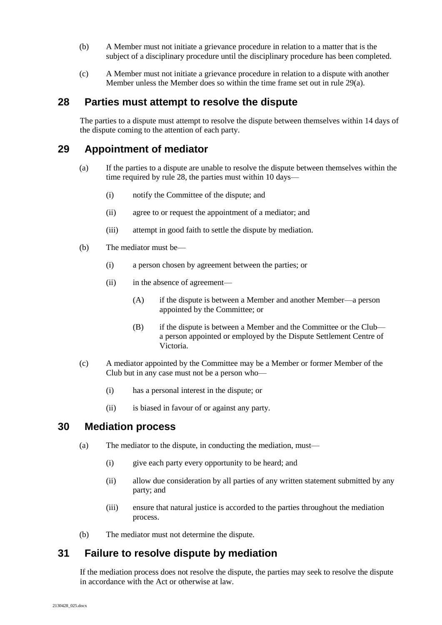- (b) A Member must not initiate a grievance procedure in relation to a matter that is the subject of a disciplinary procedure until the disciplinary procedure has been completed.
- (c) A Member must not initiate a grievance procedure in relation to a dispute with another Member unless the Member does so within the time frame set out in rul[e 29\(a\).](#page-13-4)

#### <span id="page-13-0"></span>**28 Parties must attempt to resolve the dispute**

The parties to a dispute must attempt to resolve the dispute between themselves within 14 days of the dispute coming to the attention of each party.

### <span id="page-13-4"></span><span id="page-13-1"></span>**29 Appointment of mediator**

- (a) If the parties to a dispute are unable to resolve the dispute between themselves within the time required by rule [28,](#page-13-0) the parties must within 10 days—
	- (i) notify the Committee of the dispute; and
	- (ii) agree to or request the appointment of a mediator; and
	- (iii) attempt in good faith to settle the dispute by mediation.
- (b) The mediator must be—
	- (i) a person chosen by agreement between the parties; or
	- (ii) in the absence of agreement—
		- (A) if the dispute is between a Member and another Member—a person appointed by the Committee; or
		- (B) if the dispute is between a Member and the Committee or the Club a person appointed or employed by the Dispute Settlement Centre of Victoria.
- (c) A mediator appointed by the Committee may be a Member or former Member of the Club but in any case must not be a person who—
	- (i) has a personal interest in the dispute; or
	- (ii) is biased in favour of or against any party.

### <span id="page-13-2"></span>**30 Mediation process**

- (a) The mediator to the dispute, in conducting the mediation, must—
	- (i) give each party every opportunity to be heard; and
	- (ii) allow due consideration by all parties of any written statement submitted by any party; and
	- (iii) ensure that natural justice is accorded to the parties throughout the mediation process.
- (b) The mediator must not determine the dispute.

### <span id="page-13-3"></span>**31 Failure to resolve dispute by mediation**

If the mediation process does not resolve the dispute, the parties may seek to resolve the dispute in accordance with the Act or otherwise at law.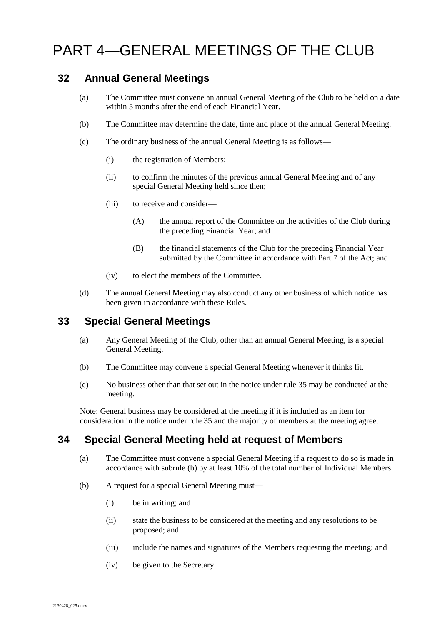### <span id="page-14-0"></span>PART 4—GENERAL MEETINGS OF THE CLUB

### <span id="page-14-1"></span>**32 Annual General Meetings**

- (a) The Committee must convene an annual General Meeting of the Club to be held on a date within 5 months after the end of each Financial Year.
- (b) The Committee may determine the date, time and place of the annual General Meeting.
- (c) The ordinary business of the annual General Meeting is as follows—
	- (i) the registration of Members;
	- (ii) to confirm the minutes of the previous annual General Meeting and of any special General Meeting held since then;
	- (iii) to receive and consider—
		- (A) the annual report of the Committee on the activities of the Club during the preceding Financial Year; and
		- (B) the financial statements of the Club for the preceding Financial Year submitted by the Committee in accordance with Part 7 of the Act; and
	- (iv) to elect the members of the Committee.
- <span id="page-14-5"></span>(d) The annual General Meeting may also conduct any other business of which notice has been given in accordance with these Rules.

### <span id="page-14-2"></span>**33 Special General Meetings**

- (a) Any General Meeting of the Club, other than an annual General Meeting, is a special General Meeting.
- (b) The Committee may convene a special General Meeting whenever it thinks fit.
- (c) No business other than that set out in the notice under rule [35](#page-15-0) may be conducted at the meeting.

Note: General business may be considered at the meeting if it is included as an item for consideration in the notice under rule [35](#page-15-0) and the majority of members at the meeting agree.

### <span id="page-14-3"></span>**34 Special General Meeting held at request of Members**

- (a) The Committee must convene a special General Meeting if a request to do so is made in accordance with subrule [\(b\)](#page-14-4) by at least 10% of the total number of Individual Members.
- <span id="page-14-4"></span>(b) A request for a special General Meeting must—
	- (i) be in writing; and
	- (ii) state the business to be considered at the meeting and any resolutions to be proposed; and
	- (iii) include the names and signatures of the Members requesting the meeting; and
	- (iv) be given to the Secretary.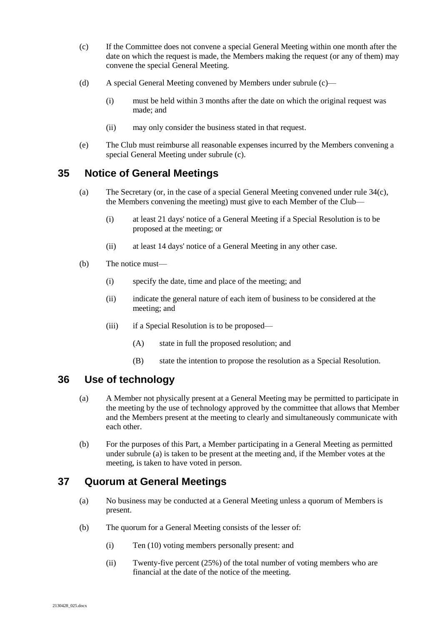- <span id="page-15-3"></span>(c) If the Committee does not convene a special General Meeting within one month after the date on which the request is made, the Members making the request (or any of them) may convene the special General Meeting.
- (d) A special General Meeting convened by Members under subrul[e \(c\)—](#page-15-3)
	- (i) must be held within 3 months after the date on which the original request was made; and
	- (ii) may only consider the business stated in that request.
- (e) The Club must reimburse all reasonable expenses incurred by the Members convening a special General Meeting under subrule [\(c\).](#page-15-3)

### <span id="page-15-0"></span>**35 Notice of General Meetings**

- (a) The Secretary (or, in the case of a special General Meeting convened under rule [34\(c\),](#page-15-3) the Members convening the meeting) must give to each Member of the Club—
	- (i) at least 21 days' notice of a General Meeting if a Special Resolution is to be proposed at the meeting; or
	- (ii) at least 14 days' notice of a General Meeting in any other case.
- (b) The notice must—
	- (i) specify the date, time and place of the meeting; and
	- (ii) indicate the general nature of each item of business to be considered at the meeting; and
	- (iii) if a Special Resolution is to be proposed—
		- (A) state in full the proposed resolution; and
		- (B) state the intention to propose the resolution as a Special Resolution.

### <span id="page-15-4"></span><span id="page-15-1"></span>**36 Use of technology**

- (a) A Member not physically present at a General Meeting may be permitted to participate in the meeting by the use of technology approved by the committee that allows that Member and the Members present at the meeting to clearly and simultaneously communicate with each other.
- (b) For the purposes of this Part, a Member participating in a General Meeting as permitted under subrule [\(a\)](#page-15-4) is taken to be present at the meeting and, if the Member votes at the meeting, is taken to have voted in person.

### <span id="page-15-2"></span>**37 Quorum at General Meetings**

- (a) No business may be conducted at a General Meeting unless a quorum of Members is present.
- (b) The quorum for a General Meeting consists of the lesser of:
	- (i) Ten (10) voting members personally present: and
	- (ii) Twenty-five percent (25%) of the total number of voting members who are financial at the date of the notice of the meeting.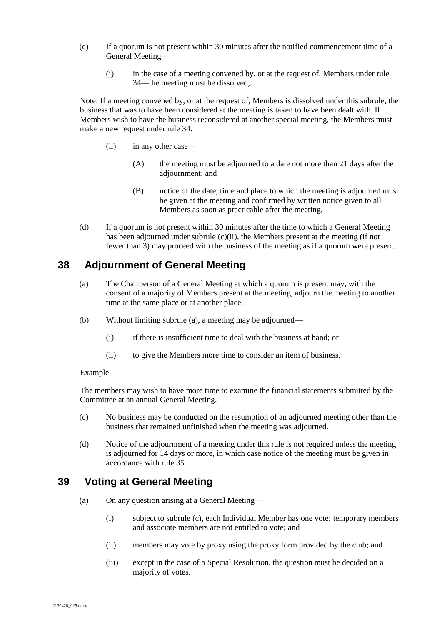- <span id="page-16-2"></span>(c) If a quorum is not present within 30 minutes after the notified commencement time of a General Meeting—
	- (i) in the case of a meeting convened by, or at the request of, Members under rule [34—](#page-14-3)the meeting must be dissolved;

Note: If a meeting convened by, or at the request of, Members is dissolved under this subrule, the business that was to have been considered at the meeting is taken to have been dealt with. If Members wish to have the business reconsidered at another special meeting, the Members must make a new request under rule [34.](#page-14-3)

- (ii) in any other case—
	- (A) the meeting must be adjourned to a date not more than 21 days after the adjournment; and
	- (B) notice of the date, time and place to which the meeting is adjourned must be given at the meeting and confirmed by written notice given to all Members as soon as practicable after the meeting.
- (d) If a quorum is not present within 30 minutes after the time to which a General Meeting has been adjourned under subrule [\(c\)\(ii\),](#page-16-2) the Members present at the meeting (if not fewer than 3) may proceed with the business of the meeting as if a quorum were present.

### <span id="page-16-3"></span><span id="page-16-0"></span>**38 Adjournment of General Meeting**

- (a) The Chairperson of a General Meeting at which a quorum is present may, with the consent of a majority of Members present at the meeting, adjourn the meeting to another time at the same place or at another place.
- (b) Without limiting subrule [\(a\),](#page-16-3) a meeting may be adjourned—
	- (i) if there is insufficient time to deal with the business at hand; or
	- (ii) to give the Members more time to consider an item of business.

#### Example

The members may wish to have more time to examine the financial statements submitted by the Committee at an annual General Meeting.

- (c) No business may be conducted on the resumption of an adjourned meeting other than the business that remained unfinished when the meeting was adjourned.
- (d) Notice of the adjournment of a meeting under this rule is not required unless the meeting is adjourned for 14 days or more, in which case notice of the meeting must be given in accordance with rule [35.](#page-15-0)

### <span id="page-16-1"></span>**39 Voting at General Meeting**

- (a) On any question arising at a General Meeting—
	- (i) subject to subrule [\(c\),](#page-17-1) each Individual Member has one vote; temporary members and associate members are not entitled to vote; and
	- (ii) members may vote by proxy using the proxy form provided by the club; and
	- (iii) except in the case of a Special Resolution, the question must be decided on a majority of votes.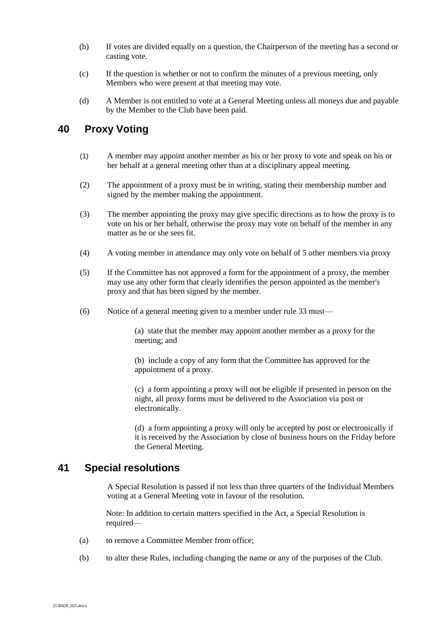- (b) If votes are divided equally on a question, the Chairperson of the meeting has a second or casting vote.
- <span id="page-17-1"></span>(c) If the question is whether or not to confirm the minutes of a previous meeting, only Members who were present at that meeting may vote.
- (d) A Member is not entitled to vote at a General Meeting unless all moneys due and payable by the Member to the Club have been paid.

### **40 Proxy Voting**

- (1) A member may appoint another member as his or her proxy to vote and speak on his or her behalf at a general meeting other than at a disciplinary appeal meeting.
- (2) The appointment of a proxy must be in writing, stating their membership number and signed by the member making the appointment.
- (3) The member appointing the proxy may give specific directions as to how the proxy is to vote on his or her behalf, otherwise the proxy may vote on behalf of the member in any matter as he or she sees fit.
- (4) A voting member in attendance may only vote on behalf of 5 other members via proxy
- (5) If the Committee has not approved a form for the appointment of a proxy, the member may use any other form that clearly identifies the person appointed as the member's proxy and that has been signed by the member.
- (6) Notice of a general meeting given to a member under rule 33 must—

(a) state that the member may appoint another member as a proxy for the meeting; and

(b) include a copy of any form that the Committee has approved for the appointment of a proxy.

(c) a form appointing a proxy will not be eligible if presented in person on the night, all proxy forms must be delivered to the Association via post or electronically.

(d) a form appointing a proxy will only be accepted by post or electronically if it is received by the Association by close of business hours on the Friday before the General Meeting.

### <span id="page-17-0"></span>**41 Special resolutions**

A Special Resolution is passed if not less than three quarters of the Individual Members voting at a General Meeting vote in favour of the resolution.

Note: In addition to certain matters specified in the Act, a Special Resolution is required—

- (a) to remove a Committee Member from office;
- (b) to alter these Rules, including changing the name or any of the purposes of the Club.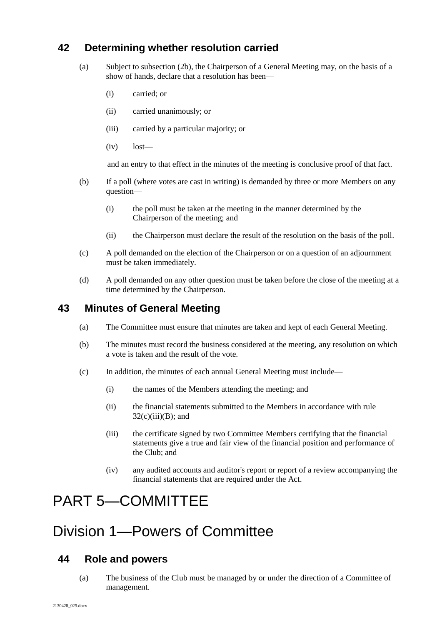### <span id="page-18-0"></span>**42 Determining whether resolution carried**

- (a) Subject to subsection (2b), the Chairperson of a General Meeting may, on the basis of a show of hands, declare that a resolution has been—
	- (i) carried; or
	- (ii) carried unanimously; or
	- (iii) carried by a particular majority; or
	- (iv) lost—

and an entry to that effect in the minutes of the meeting is conclusive proof of that fact.

- (b) If a poll (where votes are cast in writing) is demanded by three or more Members on any question—
	- (i) the poll must be taken at the meeting in the manner determined by the Chairperson of the meeting; and
	- (ii) the Chairperson must declare the result of the resolution on the basis of the poll.
- (c) A poll demanded on the election of the Chairperson or on a question of an adjournment must be taken immediately.
- (d) A poll demanded on any other question must be taken before the close of the meeting at a time determined by the Chairperson.

#### <span id="page-18-1"></span>**43 Minutes of General Meeting**

- (a) The Committee must ensure that minutes are taken and kept of each General Meeting.
- (b) The minutes must record the business considered at the meeting, any resolution on which a vote is taken and the result of the vote.
- (c) In addition, the minutes of each annual General Meeting must include—
	- (i) the names of the Members attending the meeting; and
	- (ii) the financial statements submitted to the Members in accordance with rule  $32(c)(iii)(B)$ ; and
	- (iii) the certificate signed by two Committee Members certifying that the financial statements give a true and fair view of the financial position and performance of the Club; and
	- (iv) any audited accounts and auditor's report or report of a review accompanying the financial statements that are required under the Act.

### <span id="page-18-2"></span>PART 5—COMMITTEE

### <span id="page-18-3"></span>Division 1—Powers of Committee

### <span id="page-18-4"></span>**44 Role and powers**

(a) The business of the Club must be managed by or under the direction of a Committee of management.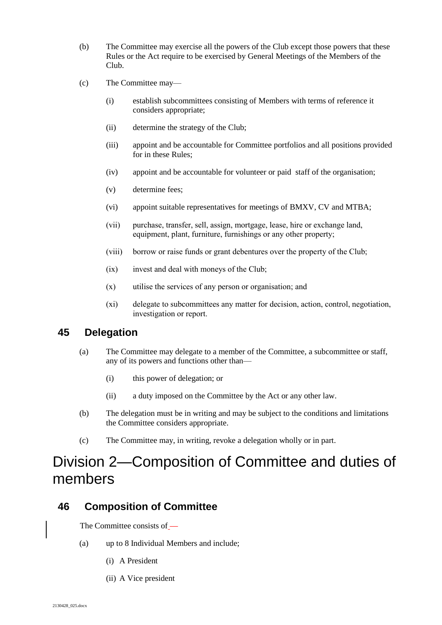- (b) The Committee may exercise all the powers of the Club except those powers that these Rules or the Act require to be exercised by General Meetings of the Members of the Club.
- <span id="page-19-3"></span>(c) The Committee may—
	- (i) establish subcommittees consisting of Members with terms of reference it considers appropriate;
	- (ii) determine the strategy of the Club;
	- (iii) appoint and be accountable for Committee portfolios and all positions provided for in these Rules;
	- (iv) appoint and be accountable for volunteer or paid staff of the organisation;
	- (v) determine fees;
	- (vi) appoint suitable representatives for meetings of BMXV, CV and MTBA;
	- (vii) purchase, transfer, sell, assign, mortgage, lease, hire or exchange land, equipment, plant, furniture, furnishings or any other property;
	- (viii) borrow or raise funds or grant debentures over the property of the Club;
	- (ix) invest and deal with moneys of the Club;
	- (x) utilise the services of any person or organisation; and
	- (xi) delegate to subcommittees any matter for decision, action, control, negotiation, investigation or report.

### <span id="page-19-0"></span>**45 Delegation**

- (a) The Committee may delegate to a member of the Committee, a subcommittee or staff, any of its powers and functions other than—
	- (i) this power of delegation; or
	- (ii) a duty imposed on the Committee by the Act or any other law.
- (b) The delegation must be in writing and may be subject to the conditions and limitations the Committee considers appropriate.
- (c) The Committee may, in writing, revoke a delegation wholly or in part.

### <span id="page-19-1"></span>Division 2—Composition of Committee and duties of members

#### <span id="page-19-2"></span>**46 Composition of Committee**

The Committee consists of —

- (a) up to 8 Individual Members and include;
	- (i) A President
	- (ii) A Vice president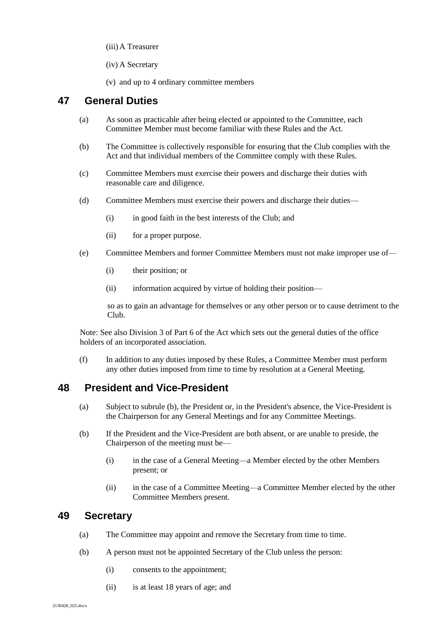(iii)A Treasurer

(iv) A Secretary

(v) and up to 4 ordinary committee members

### <span id="page-20-0"></span>**47 General Duties**

- (a) As soon as practicable after being elected or appointed to the Committee, each Committee Member must become familiar with these Rules and the Act.
- (b) The Committee is collectively responsible for ensuring that the Club complies with the Act and that individual members of the Committee comply with these Rules.
- (c) Committee Members must exercise their powers and discharge their duties with reasonable care and diligence.
- (d) Committee Members must exercise their powers and discharge their duties—
	- (i) in good faith in the best interests of the Club; and
	- (ii) for a proper purpose.
- (e) Committee Members and former Committee Members must not make improper use of—
	- (i) their position; or
	- (ii) information acquired by virtue of holding their position—

so as to gain an advantage for themselves or any other person or to cause detriment to the Club.

Note: See also Division 3 of Part 6 of the Act which sets out the general duties of the office holders of an incorporated association.

(f) In addition to any duties imposed by these Rules, a Committee Member must perform any other duties imposed from time to time by resolution at a General Meeting.

### <span id="page-20-1"></span>**48 President and Vice-President**

- (a) Subject to subrule [\(b\),](#page-20-3) the President or, in the President's absence, the Vice-President is the Chairperson for any General Meetings and for any Committee Meetings.
- <span id="page-20-3"></span>(b) If the President and the Vice-President are both absent, or are unable to preside, the Chairperson of the meeting must be—
	- (i) in the case of a General Meeting—a Member elected by the other Members present; or
	- (ii) in the case of a Committee Meeting—a Committee Member elected by the other Committee Members present.

### <span id="page-20-2"></span>**49 Secretary**

- (a) The Committee may appoint and remove the Secretary from time to time.
- (b) A person must not be appointed Secretary of the Club unless the person:
	- (i) consents to the appointment;
	- (ii) is at least 18 years of age; and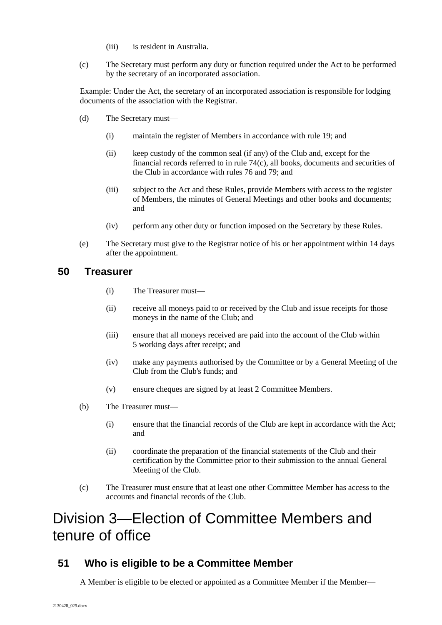- (iii) is resident in Australia.
- (c) The Secretary must perform any duty or function required under the Act to be performed by the secretary of an incorporated association.

Example: Under the Act, the secretary of an incorporated association is responsible for lodging documents of the association with the Registrar.

- (d) The Secretary must—
	- (i) maintain the register of Members in accordance with rule [19;](#page-9-3) and
	- (ii) keep custody of the common seal (if any) of the Club and, except for the financial records referred to in rule [74\(c\),](#page-28-5) all books, documents and securities of the Club in accordance with rules [76](#page-28-3) an[d 79;](#page-29-2) and
	- (iii) subject to the Act and these Rules, provide Members with access to the register of Members, the minutes of General Meetings and other books and documents; and
	- (iv) perform any other duty or function imposed on the Secretary by these Rules.
- (e) The Secretary must give to the Registrar notice of his or her appointment within 14 days after the appointment.

### <span id="page-21-0"></span>**50 Treasurer**

- (i) The Treasurer must—
- (ii) receive all moneys paid to or received by the Club and issue receipts for those moneys in the name of the Club; and
- (iii) ensure that all moneys received are paid into the account of the Club within 5 working days after receipt; and
- (iv) make any payments authorised by the Committee or by a General Meeting of the Club from the Club's funds; and
- (v) ensure cheques are signed by at least 2 Committee Members.
- (b) The Treasurer must—
	- (i) ensure that the financial records of the Club are kept in accordance with the Act; and
	- (ii) coordinate the preparation of the financial statements of the Club and their certification by the Committee prior to their submission to the annual General Meeting of the Club.
- (c) The Treasurer must ensure that at least one other Committee Member has access to the accounts and financial records of the Club.

### <span id="page-21-1"></span>Division 3—Election of Committee Members and tenure of office

### <span id="page-21-2"></span>**51 Who is eligible to be a Committee Member**

A Member is eligible to be elected or appointed as a Committee Member if the Member-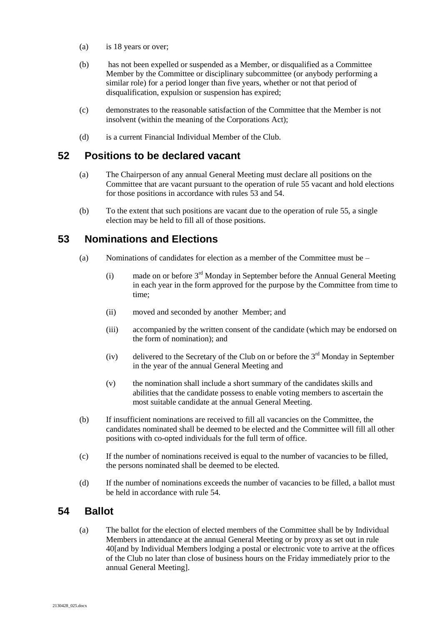- (a) is 18 years or over;
- (b) has not been expelled or suspended as a Member, or disqualified as a Committee Member by the Committee or disciplinary subcommittee (or anybody performing a similar role) for a period longer than five years, whether or not that period of disqualification, expulsion or suspension has expired;
- (c) demonstrates to the reasonable satisfaction of the Committee that the Member is not insolvent (within the meaning of the Corporations Act);
- (d) is a current Financial Individual Member of the Club.

#### <span id="page-22-0"></span>**52 Positions to be declared vacant**

- (a) The Chairperson of any annual General Meeting must declare all positions on the Committee that are vacant pursuant to the operation of rule [55](#page-23-0) vacant and hold elections for those positions in accordance with rules [53](#page-22-1) and [54.](#page-22-2)
- (b) To the extent that such positions are vacant due to the operation of rule 55, a single election may be held to fill all of those positions.

### <span id="page-22-1"></span>**53 Nominations and Elections**

- (a) Nominations of candidates for election as a member of the Committee must be
	- $(i)$  made on or before  $3<sup>rd</sup>$  Monday in September before the Annual General Meeting in each year in the form approved for the purpose by the Committee from time to time;
	- (ii) moved and seconded by another Member; and
	- (iii) accompanied by the written consent of the candidate (which may be endorsed on the form of nomination); and
	- (iv) delivered to the Secretary of the Club on or before the  $3<sup>rd</sup>$  Monday in September in the year of the annual General Meeting and
	- (v) the nomination shall include a short summary of the candidates skills and abilities that the candidate possess to enable voting members to ascertain the most suitable candidate at the annual General Meeting.
- (b) If insufficient nominations are received to fill all vacancies on the Committee, the candidates nominated shall be deemed to be elected and the Committee will fill all other positions with co-opted individuals for the full term of office.
- (c) If the number of nominations received is equal to the number of vacancies to be filled, the persons nominated shall be deemed to be elected.
- (d) If the number of nominations exceeds the number of vacancies to be filled, a ballot must be held in accordance with rule [54.](#page-22-2)

### <span id="page-22-2"></span>**54 Ballot**

(a) The ballot for the election of elected members of the Committee shall be by Individual Members in attendance at the annual General Meeting or by proxy as set out in rule 40[and by Individual Members lodging a postal or electronic vote to arrive at the offices of the Club no later than close of business hours on the Friday immediately prior to the annual General Meeting].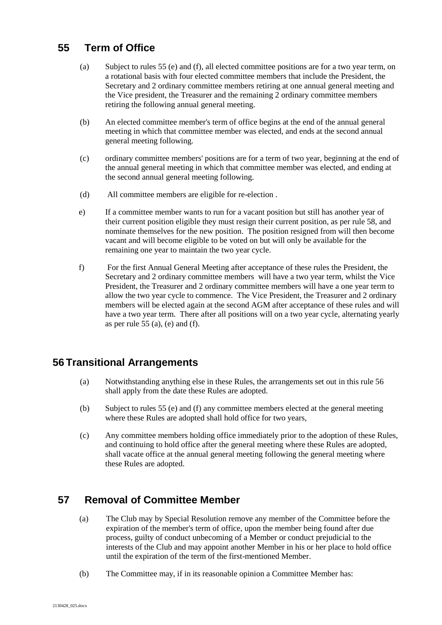### <span id="page-23-0"></span>**55 Term of Office**

- (a) Subject to rules 55 (e) and (f), all elected committee positions are for a two year term, on a rotational basis with four elected committee members that include the President, the Secretary and 2 ordinary committee members retiring at one annual general meeting and the Vice president, the Treasurer and the remaining 2 ordinary committee members retiring the following annual general meeting.
- (b) An elected committee member's term of office begins at the end of the annual general meeting in which that committee member was elected, and ends at the second annual general meeting following.
- (c) ordinary committee members' positions are for a term of two year, beginning at the end of the annual general meeting in which that committee member was elected, and ending at the second annual general meeting following.
- (d) All committee members are eligible for re-election .
- e) If a committee member wants to run for a vacant position but still has another year of their current position eligible they must resign their current position, as per rule 58, and nominate themselves for the new position. The position resigned from will then become vacant and will become eligible to be voted on but will only be available for the remaining one year to maintain the two year cycle.
- f) For the first Annual General Meeting after acceptance of these rules the President, the Secretary and 2 ordinary committee members will have a two year term, whilst the Vice President, the Treasurer and 2 ordinary committee members will have a one year term to allow the two year cycle to commence. The Vice President, the Treasurer and 2 ordinary members will be elected again at the second AGM after acceptance of these rules and will have a two year term. There after all positions will on a two year cycle, alternating yearly as per rule 55 (a), (e) and (f).

### **56 Transitional Arrangements**

- (a) Notwithstanding anything else in these Rules, the arrangements set out in this rule 56 shall apply from the date these Rules are adopted.
- (b) Subject to rules 55 (e) and (f) any committee members elected at the general meeting where these Rules are adopted shall hold office for two years,
- (c) Any committee members holding office immediately prior to the adoption of these Rules, and continuing to hold office after the general meeting where these Rules are adopted, shall vacate office at the annual general meeting following the general meeting where these Rules are adopted.

### <span id="page-23-1"></span>**57 Removal of Committee Member**

- (a) The Club may by Special Resolution remove any member of the Committee before the expiration of the member's term of office, upon the member being found after due process, guilty of conduct unbecoming of a Member or conduct prejudicial to the interests of the Club and may appoint another Member in his or her place to hold office until the expiration of the term of the first-mentioned Member.
- (b) The Committee may, if in its reasonable opinion a Committee Member has: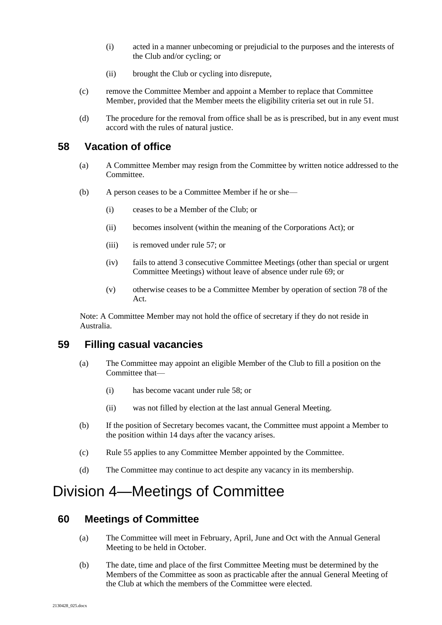- (i) acted in a manner unbecoming or prejudicial to the purposes and the interests of the Club and/or cycling; or
- (ii) brought the Club or cycling into disrepute,
- (c) remove the Committee Member and appoint a Member to replace that Committee Member, provided that the Member meets the eligibility criteria set out in rule [51.](#page-21-2)
- (d) The procedure for the removal from office shall be as is prescribed, but in any event must accord with the rules of natural justice.

### <span id="page-24-0"></span>**58 Vacation of office**

- (a) A Committee Member may resign from the Committee by written notice addressed to the Committee.
- (b) A person ceases to be a Committee Member if he or she—
	- (i) ceases to be a Member of the Club; or
	- (ii) becomes insolvent (within the meaning of the Corporations Act); or
	- (iii) is removed under rule [57;](#page-23-1) or
	- (iv) fails to attend 3 consecutive Committee Meetings (other than special or urgent Committee Meetings) without leave of absence under rule [69;](#page-27-0) or
	- (v) otherwise ceases to be a Committee Member by operation of section 78 of the Act.

Note: A Committee Member may not hold the office of secretary if they do not reside in Australia.

### <span id="page-24-1"></span>**59 Filling casual vacancies**

- (a) The Committee may appoint an eligible Member of the Club to fill a position on the Committee that—
	- (i) has become vacant under rule 58; or
	- (ii) was not filled by election at the last annual General Meeting.
- (b) If the position of Secretary becomes vacant, the Committee must appoint a Member to the position within 14 days after the vacancy arises.
- (c) Rule [55](#page-23-0) applies to any Committee Member appointed by the Committee.
- (d) The Committee may continue to act despite any vacancy in its membership.

### <span id="page-24-2"></span>Division 4—Meetings of Committee

### <span id="page-24-3"></span>**60 Meetings of Committee**

- (a) The Committee will meet in February, April, June and Oct with the Annual General Meeting to be held in October.
- (b) The date, time and place of the first Committee Meeting must be determined by the Members of the Committee as soon as practicable after the annual General Meeting of the Club at which the members of the Committee were elected.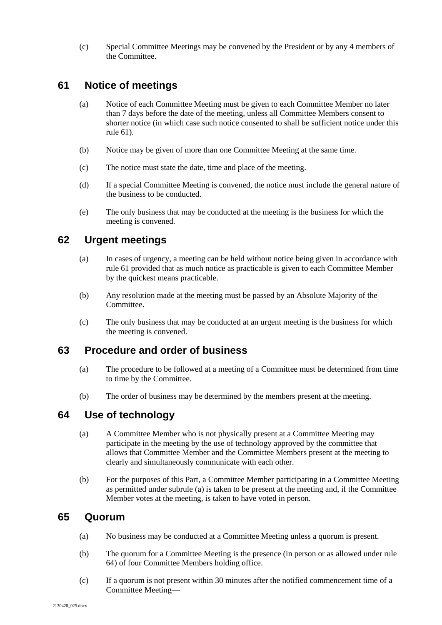(c) Special Committee Meetings may be convened by the President or by any 4 members of the Committee.

### <span id="page-25-0"></span>**61 Notice of meetings**

- (a) Notice of each Committee Meeting must be given to each Committee Member no later than 7 days before the date of the meeting, unless all Committee Members consent to shorter notice (in which case such notice consented to shall be sufficient notice under this rul[e 61\)](#page-25-0).
- (b) Notice may be given of more than one Committee Meeting at the same time.
- (c) The notice must state the date, time and place of the meeting.
- (d) If a special Committee Meeting is convened, the notice must include the general nature of the business to be conducted.
- (e) The only business that may be conducted at the meeting is the business for which the meeting is convened.

### <span id="page-25-1"></span>**62 Urgent meetings**

- (a) In cases of urgency, a meeting can be held without notice being given in accordance with rul[e 61](#page-25-0) provided that as much notice as practicable is given to each Committee Member by the quickest means practicable.
- (b) Any resolution made at the meeting must be passed by an Absolute Majority of the Committee.
- (c) The only business that may be conducted at an urgent meeting is the business for which the meeting is convened.

### <span id="page-25-2"></span>**63 Procedure and order of business**

- (a) The procedure to be followed at a meeting of a Committee must be determined from time to time by the Committee.
- (b) The order of business may be determined by the members present at the meeting.

### <span id="page-25-5"></span><span id="page-25-3"></span>**64 Use of technology**

- (a) A Committee Member who is not physically present at a Committee Meeting may participate in the meeting by the use of technology approved by the committee that allows that Committee Member and the Committee Members present at the meeting to clearly and simultaneously communicate with each other.
- (b) For the purposes of this Part, a Committee Member participating in a Committee Meeting as permitted under subrule [\(a\)](#page-25-5) is taken to be present at the meeting and, if the Committee Member votes at the meeting, is taken to have voted in person.

#### <span id="page-25-4"></span>**65 Quorum**

- (a) No business may be conducted at a Committee Meeting unless a quorum is present.
- (b) The quorum for a Committee Meeting is the presence (in person or as allowed under rule 64) of four Committee Members holding office.
- (c) If a quorum is not present within 30 minutes after the notified commencement time of a Committee Meeting—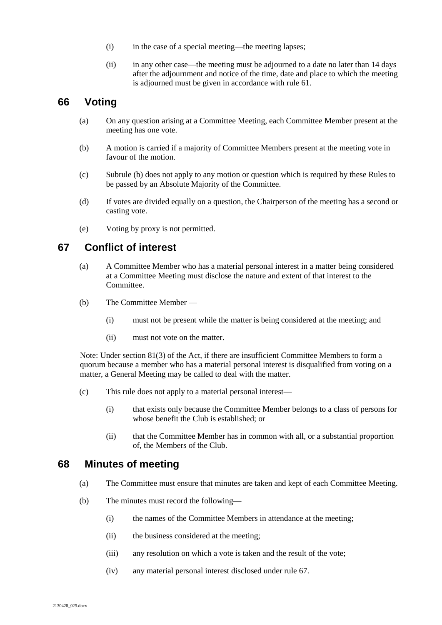- (i) in the case of a special meeting—the meeting lapses;
- (ii) in any other case—the meeting must be adjourned to a date no later than 14 days after the adjournment and notice of the time, date and place to which the meeting is adjourned must be given in accordance with rule [61.](#page-25-0)

### <span id="page-26-0"></span>**66 Voting**

- (a) On any question arising at a Committee Meeting, each Committee Member present at the meeting has one vote.
- <span id="page-26-3"></span>(b) A motion is carried if a majority of Committee Members present at the meeting vote in favour of the motion.
- (c) Subrule [\(b\)](#page-26-3) does not apply to any motion or question which is required by these Rules to be passed by an Absolute Majority of the Committee.
- (d) If votes are divided equally on a question, the Chairperson of the meeting has a second or casting vote.
- (e) Voting by proxy is not permitted.

#### <span id="page-26-1"></span>**67 Conflict of interest**

- (a) A Committee Member who has a material personal interest in a matter being considered at a Committee Meeting must disclose the nature and extent of that interest to the Committee.
- (b) The Committee Member
	- (i) must not be present while the matter is being considered at the meeting; and
	- (ii) must not vote on the matter.

Note: Under section 81(3) of the Act, if there are insufficient Committee Members to form a quorum because a member who has a material personal interest is disqualified from voting on a matter, a General Meeting may be called to deal with the matter.

- (c) This rule does not apply to a material personal interest—
	- (i) that exists only because the Committee Member belongs to a class of persons for whose benefit the Club is established; or
	- (ii) that the Committee Member has in common with all, or a substantial proportion of, the Members of the Club.

#### <span id="page-26-2"></span>**68 Minutes of meeting**

- (a) The Committee must ensure that minutes are taken and kept of each Committee Meeting.
- (b) The minutes must record the following—
	- (i) the names of the Committee Members in attendance at the meeting;
	- (ii) the business considered at the meeting;
	- (iii) any resolution on which a vote is taken and the result of the vote;
	- (iv) any material personal interest disclosed under rule [67.](#page-26-1)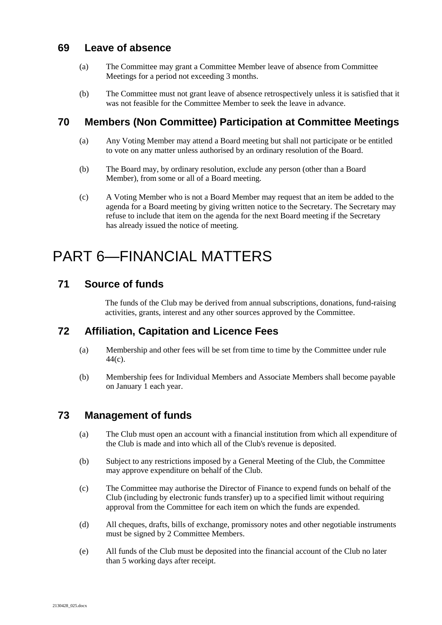### <span id="page-27-0"></span>**69 Leave of absence**

- (a) The Committee may grant a Committee Member leave of absence from Committee Meetings for a period not exceeding 3 months.
- (b) The Committee must not grant leave of absence retrospectively unless it is satisfied that it was not feasible for the Committee Member to seek the leave in advance.

### **70 Members (Non Committee) Participation at Committee Meetings**

- (a) Any Voting Member may attend a Board meeting but shall not participate or be entitled to vote on any matter unless authorised by an ordinary resolution of the Board.
- (b) The Board may, by ordinary resolution, exclude any person (other than a Board Member), from some or all of a Board meeting.
- (c) A Voting Member who is not a Board Member may request that an item be added to the agenda for a Board meeting by giving written notice to the Secretary. The Secretary may refuse to include that item on the agenda for the next Board meeting if the Secretary has already issued the notice of meeting.

### <span id="page-27-1"></span>PART 6—FINANCIAL MATTERS

### <span id="page-27-2"></span>**71 Source of funds**

The funds of the Club may be derived from annual subscriptions, donations, fund-raising activities, grants, interest and any other sources approved by the Committee.

### <span id="page-27-3"></span>**72 Affiliation, Capitation and Licence Fees**

- (a) Membership and other fees will be set from time to time by the Committee under rule [44\(c\).](#page-19-3)
- (b) Membership fees for Individual Members and Associate Members shall become payable on January 1 each year.

### <span id="page-27-4"></span>**73 Management of funds**

- (a) The Club must open an account with a financial institution from which all expenditure of the Club is made and into which all of the Club's revenue is deposited.
- (b) Subject to any restrictions imposed by a General Meeting of the Club, the Committee may approve expenditure on behalf of the Club.
- (c) The Committee may authorise the Director of Finance to expend funds on behalf of the Club (including by electronic funds transfer) up to a specified limit without requiring approval from the Committee for each item on which the funds are expended.
- (d) All cheques, drafts, bills of exchange, promissory notes and other negotiable instruments must be signed by 2 Committee Members.
- (e) All funds of the Club must be deposited into the financial account of the Club no later than 5 working days after receipt.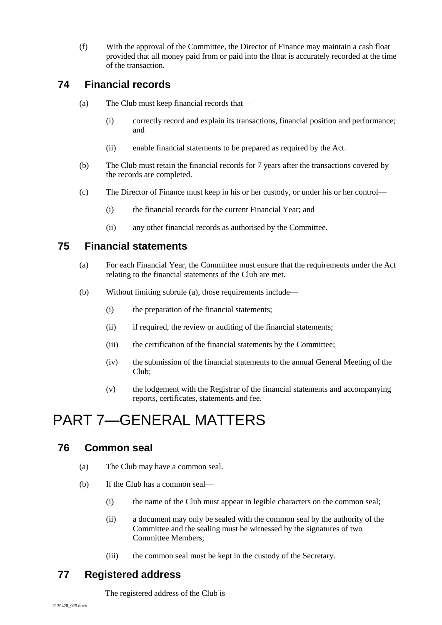(f) With the approval of the Committee, the Director of Finance may maintain a cash float provided that all money paid from or paid into the float is accurately recorded at the time of the transaction.

### <span id="page-28-0"></span>**74 Financial records**

- (a) The Club must keep financial records that—
	- (i) correctly record and explain its transactions, financial position and performance; and
	- (ii) enable financial statements to be prepared as required by the Act.
- (b) The Club must retain the financial records for 7 years after the transactions covered by the records are completed.
- <span id="page-28-5"></span>(c) The Director of Finance must keep in his or her custody, or under his or her control—
	- (i) the financial records for the current Financial Year; and
	- (ii) any other financial records as authorised by the Committee.

### <span id="page-28-6"></span><span id="page-28-1"></span>**75 Financial statements**

- (a) For each Financial Year, the Committee must ensure that the requirements under the Act relating to the financial statements of the Club are met.
- (b) Without limiting subrule [\(a\),](#page-28-6) those requirements include—
	- (i) the preparation of the financial statements;
	- (ii) if required, the review or auditing of the financial statements;
	- (iii) the certification of the financial statements by the Committee;
	- (iv) the submission of the financial statements to the annual General Meeting of the Club;
	- (v) the lodgement with the Registrar of the financial statements and accompanying reports, certificates, statements and fee.

### <span id="page-28-2"></span>PART 7—GENERAL MATTERS

### <span id="page-28-3"></span>**76 Common seal**

- (a) The Club may have a common seal.
- (b) If the Club has a common seal—
	- (i) the name of the Club must appear in legible characters on the common seal;
	- (ii) a document may only be sealed with the common seal by the authority of the Committee and the sealing must be witnessed by the signatures of two Committee Members;
	- (iii) the common seal must be kept in the custody of the Secretary.

### <span id="page-28-4"></span>**77 Registered address**

The registered address of the Club is—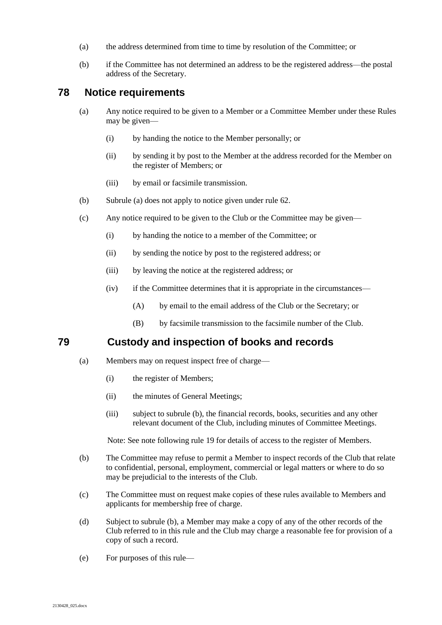- (a) the address determined from time to time by resolution of the Committee; or
- (b) if the Committee has not determined an address to be the registered address—the postal address of the Secretary.

#### <span id="page-29-4"></span><span id="page-29-0"></span>**78 Notice requirements**

- (a) Any notice required to be given to a Member or a Committee Member under these Rules may be given—
	- (i) by handing the notice to the Member personally; or
	- (ii) by sending it by post to the Member at the address recorded for the Member on the register of Members; or
	- (iii) by email or facsimile transmission.
- (b) Subrule [\(a\)](#page-29-4) does not apply to notice given under rule [62.](#page-25-1)
- <span id="page-29-3"></span>(c) Any notice required to be given to the Club or the Committee may be given—
	- (i) by handing the notice to a member of the Committee; or
	- (ii) by sending the notice by post to the registered address; or
	- (iii) by leaving the notice at the registered address; or
	- (iv) if the Committee determines that it is appropriate in the circumstances—
		- (A) by email to the email address of the Club or the Secretary; or
		- (B) by facsimile transmission to the facsimile number of the Club.

### <span id="page-29-2"></span>**79 Custody and inspection of books and records**

- <span id="page-29-1"></span>(a) Members may on request inspect free of charge—
	- (i) the register of Members;
	- (ii) the minutes of General Meetings;
	- (iii) subject to subrule [\(b\),](#page-29-5) the financial records, books, securities and any other relevant document of the Club, including minutes of Committee Meetings.

Note: See note following rule [19](#page-9-3) for details of access to the register of Members.

- <span id="page-29-5"></span>(b) The Committee may refuse to permit a Member to inspect records of the Club that relate to confidential, personal, employment, commercial or legal matters or where to do so may be prejudicial to the interests of the Club.
- (c) The Committee must on request make copies of these rules available to Members and applicants for membership free of charge.
- (d) Subject to subrule [\(b\),](#page-29-5) a Member may make a copy of any of the other records of the Club referred to in this rule and the Club may charge a reasonable fee for provision of a copy of such a record.
- (e) For purposes of this rule—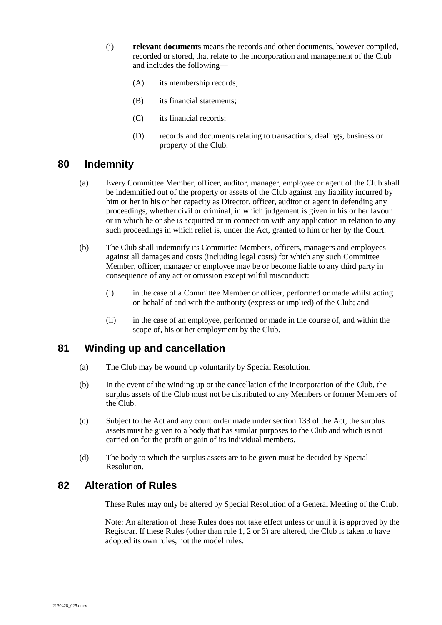- (i) **relevant documents** means the records and other documents, however compiled, recorded or stored, that relate to the incorporation and management of the Club and includes the following—
	- (A) its membership records;
	- (B) its financial statements;
	- (C) its financial records;
	- (D) records and documents relating to transactions, dealings, business or property of the Club.

### <span id="page-30-0"></span>**80 Indemnity**

- (a) Every Committee Member, officer, auditor, manager, employee or agent of the Club shall be indemnified out of the property or assets of the Club against any liability incurred by him or her in his or her capacity as Director, officer, auditor or agent in defending any proceedings, whether civil or criminal, in which judgement is given in his or her favour or in which he or she is acquitted or in connection with any application in relation to any such proceedings in which relief is, under the Act, granted to him or her by the Court.
- (b) The Club shall indemnify its Committee Members, officers, managers and employees against all damages and costs (including legal costs) for which any such Committee Member, officer, manager or employee may be or become liable to any third party in consequence of any act or omission except wilful misconduct:
	- (i) in the case of a Committee Member or officer, performed or made whilst acting on behalf of and with the authority (express or implied) of the Club; and
	- (ii) in the case of an employee, performed or made in the course of, and within the scope of, his or her employment by the Club.

### <span id="page-30-1"></span>**81 Winding up and cancellation**

- (a) The Club may be wound up voluntarily by Special Resolution.
- (b) In the event of the winding up or the cancellation of the incorporation of the Club, the surplus assets of the Club must not be distributed to any Members or former Members of the Club.
- (c) Subject to the Act and any court order made under section 133 of the Act, the surplus assets must be given to a body that has similar purposes to the Club and which is not carried on for the profit or gain of its individual members.
- (d) The body to which the surplus assets are to be given must be decided by Special Resolution.

### <span id="page-30-2"></span>**82 Alteration of Rules**

These Rules may only be altered by Special Resolution of a General Meeting of the Club.

Note: An alteration of these Rules does not take effect unless or until it is approved by the Registrar. If these Rules (other than rule 1, 2 or 3) are altered, the Club is taken to have adopted its own rules, not the model rules.